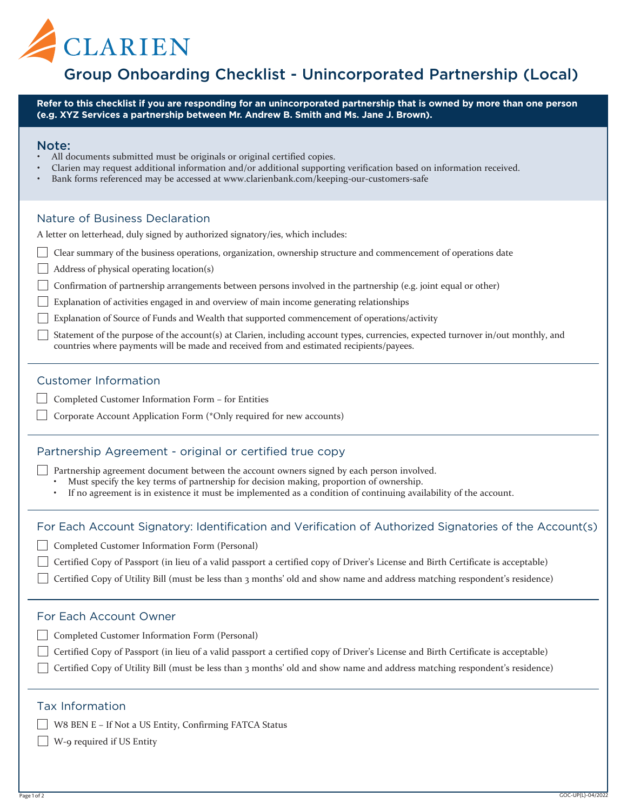

# Group Onboarding Checklist - Unincorporated Partnership (Local)

**Refer to this checklist if you are responding for an unincorporated partnership that is owned by more than one person (e.g. XYZ Services a partnership between Mr. Andrew B. Smith and Ms. Jane J. Brown).**

#### Note:

- All documents submitted must be originals or original certified copies.
- Clarien may request additional information and/or additional supporting verification based on information received.
- Bank forms referenced may be accessed at www.clarienbank.com/keeping-our-customers-safe

#### Nature of Business Declaration

A letter on letterhead, duly signed by authorized signatory/ies, which includes:

- Clear summary of the business operations, organization, ownership structure and commencement of operations date
- $\Box$  Address of physical operating location(s)
- Confirmation of partnership arrangements between persons involved in the partnership (e.g. joint equal or other)
- Explanation of activities engaged in and overview of main income generating relationships
- Explanation of Source of Funds and Wealth that supported commencement of operations/activity
- Statement of the purpose of the account(s) at Clarien, including account types, currencies, expected turnover in/out monthly, and countries where payments will be made and received from and estimated recipients/payees.

#### Customer Information

- Completed Customer Information Form for Entities
- Corporate Account Application Form (\*Only required for new accounts)

### Partnership Agreement - original or certified true copy

**Partnership agreement document between the account owners signed by each person involved.** 

- Must specify the key terms of partnership for decision making, proportion of ownership.
- If no agreement is in existence it must be implemented as a condition of continuing availability of the account.

### For Each Account Signatory: Identification and Verification of Authorized Signatories of the Account(s)

Completed Customer Information Form (Personal)

Certified Copy of Passport (in lieu of a valid passport a certified copy of Driver's License and Birth Certificate is acceptable)

Certified Copy of Utility Bill (must be less than 3 months' old and show name and address matching respondent's residence)

#### For Each Account Owner

Completed Customer Information Form (Personal)

- Certified Copy of Passport (in lieu of a valid passport a certified copy of Driver's License and Birth Certificate is acceptable)
- Certified Copy of Utility Bill (must be less than  $\frac{1}{3}$  months' old and show name and address matching respondent's residence)

#### Tax Information

 $\Box$  W8 BEN E – If Not a US Entity, Confirming FATCA Status

W-9 required if US Entity